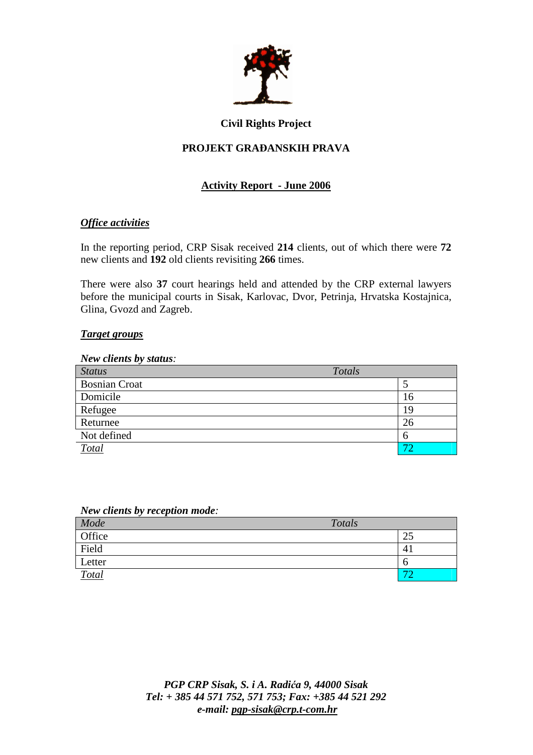

#### **Civil Rights Project**

# **PROJEKT GRA**ð**ANSKIH PRAVA**

# **Activity Report - June 2006**

## *Office activities*

In the reporting period, CRP Sisak received **214** clients, out of which there were **72** new clients and **192** old clients revisiting **266** times.

There were also **37** court hearings held and attended by the CRP external lawyers before the municipal courts in Sisak, Karlovac, Dvor, Petrinja, Hrvatska Kostajnica, Glina, Gvozd and Zagreb.

#### *Target groups*

| New clients by status: |        |    |
|------------------------|--------|----|
| <b>Status</b>          | Totals |    |
| <b>Bosnian Croat</b>   |        |    |
| Domicile               |        | 16 |
| Refugee                |        | 19 |
| Returnee               |        | 26 |
| Not defined            |        | 6  |
| <b>Total</b>           |        | 72 |

| New clients by reception mode: |
|--------------------------------|
|--------------------------------|

| Mode   | Totals                   |
|--------|--------------------------|
| Office | د.∠                      |
| Field  |                          |
| Letter |                          |
| Total  | $\overline{\phantom{a}}$ |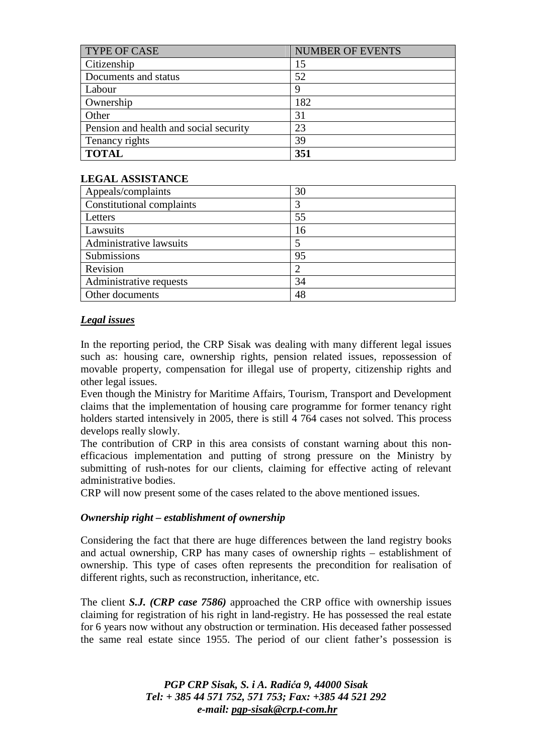| <b>TYPE OF CASE</b>                    | <b>NUMBER OF EVENTS</b> |
|----------------------------------------|-------------------------|
| Citizenship                            | 15                      |
| Documents and status                   | 52                      |
| Labour                                 | ч                       |
| Ownership                              | 182                     |
| Other                                  | 31                      |
| Pension and health and social security | 23                      |
| Tenancy rights                         | 39                      |
| <b>TOTAL</b>                           | 351                     |

## **LEGAL ASSISTANCE**

| Appeals/complaints        | 30 |
|---------------------------|----|
| Constitutional complaints |    |
| Letters                   | 55 |
| Lawsuits                  | 16 |
| Administrative lawsuits   |    |
| Submissions               | 95 |
| Revision                  |    |
| Administrative requests   | 34 |
| Other documents           | 48 |

#### *Legal issues*

In the reporting period, the CRP Sisak was dealing with many different legal issues such as: housing care, ownership rights, pension related issues, repossession of movable property, compensation for illegal use of property, citizenship rights and other legal issues.

Even though the Ministry for Maritime Affairs, Tourism, Transport and Development claims that the implementation of housing care programme for former tenancy right holders started intensively in 2005, there is still 4 764 cases not solved. This process develops really slowly.

The contribution of CRP in this area consists of constant warning about this nonefficacious implementation and putting of strong pressure on the Ministry by submitting of rush-notes for our clients, claiming for effective acting of relevant administrative bodies.

CRP will now present some of the cases related to the above mentioned issues.

## *Ownership right – establishment of ownership*

Considering the fact that there are huge differences between the land registry books and actual ownership, CRP has many cases of ownership rights – establishment of ownership. This type of cases often represents the precondition for realisation of different rights, such as reconstruction, inheritance, etc.

The client *S.J. (CRP case 7586)* approached the CRP office with ownership issues claiming for registration of his right in land-registry. He has possessed the real estate for 6 years now without any obstruction or termination. His deceased father possessed the same real estate since 1955. The period of our client father's possession is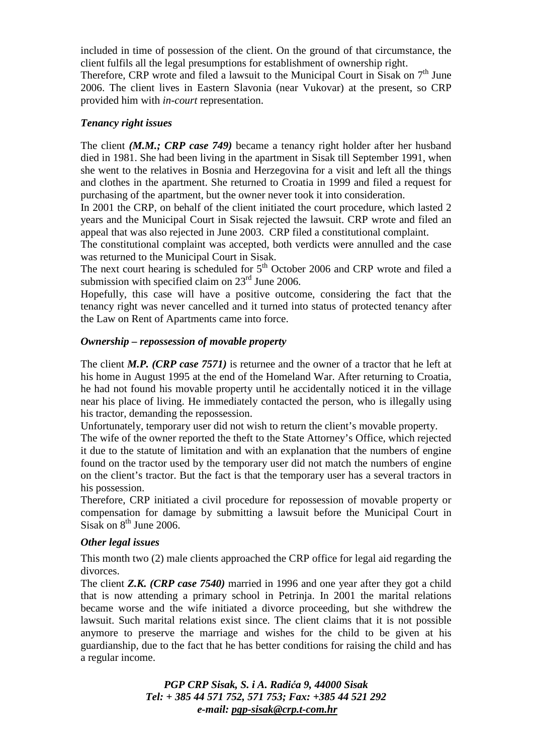included in time of possession of the client. On the ground of that circumstance, the client fulfils all the legal presumptions for establishment of ownership right.

Therefore, CRP wrote and filed a lawsuit to the Municipal Court in Sisak on  $7<sup>th</sup>$  June 2006. The client lives in Eastern Slavonia (near Vukovar) at the present, so CRP provided him with *in-court* representation.

## *Tenancy right issues*

The client *(M.M.; CRP case 749)* became a tenancy right holder after her husband died in 1981. She had been living in the apartment in Sisak till September 1991, when she went to the relatives in Bosnia and Herzegovina for a visit and left all the things and clothes in the apartment. She returned to Croatia in 1999 and filed a request for purchasing of the apartment, but the owner never took it into consideration.

In 2001 the CRP, on behalf of the client initiated the court procedure, which lasted 2 years and the Municipal Court in Sisak rejected the lawsuit. CRP wrote and filed an appeal that was also rejected in June 2003. CRP filed a constitutional complaint.

The constitutional complaint was accepted, both verdicts were annulled and the case was returned to the Municipal Court in Sisak.

The next court hearing is scheduled for  $5<sup>th</sup>$  October 2006 and CRP wrote and filed a submission with specified claim on  $23<sup>rd</sup>$  June 2006.

Hopefully, this case will have a positive outcome, considering the fact that the tenancy right was never cancelled and it turned into status of protected tenancy after the Law on Rent of Apartments came into force.

#### *Ownership – repossession of movable property*

The client *M.P. (CRP case 7571)* is returnee and the owner of a tractor that he left at his home in August 1995 at the end of the Homeland War. After returning to Croatia, he had not found his movable property until he accidentally noticed it in the village near his place of living. He immediately contacted the person, who is illegally using his tractor, demanding the repossession.

Unfortunately, temporary user did not wish to return the client's movable property.

The wife of the owner reported the theft to the State Attorney's Office, which rejected it due to the statute of limitation and with an explanation that the numbers of engine found on the tractor used by the temporary user did not match the numbers of engine on the client's tractor. But the fact is that the temporary user has a several tractors in his possession.

Therefore, CRP initiated a civil procedure for repossession of movable property or compensation for damage by submitting a lawsuit before the Municipal Court in Sisak on  $8<sup>th</sup>$  June 2006.

#### *Other legal issues*

This month two (2) male clients approached the CRP office for legal aid regarding the divorces.

The client *Z.K. (CRP case 7540)* married in 1996 and one year after they got a child that is now attending a primary school in Petrinja. In 2001 the marital relations became worse and the wife initiated a divorce proceeding, but she withdrew the lawsuit. Such marital relations exist since. The client claims that it is not possible anymore to preserve the marriage and wishes for the child to be given at his guardianship, due to the fact that he has better conditions for raising the child and has a regular income.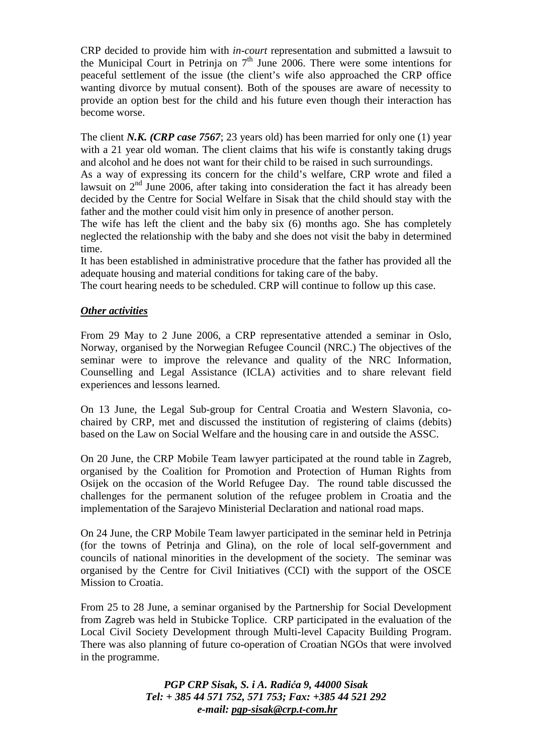CRP decided to provide him with *in-court* representation and submitted a lawsuit to the Municipal Court in Petrinja on  $7<sup>th</sup>$  June 2006. There were some intentions for peaceful settlement of the issue (the client's wife also approached the CRP office wanting divorce by mutual consent). Both of the spouses are aware of necessity to provide an option best for the child and his future even though their interaction has become worse.

The client *N.K. (CRP case 7567*; 23 years old) has been married for only one (1) year with a 21 year old woman. The client claims that his wife is constantly taking drugs and alcohol and he does not want for their child to be raised in such surroundings.

As a way of expressing its concern for the child's welfare, CRP wrote and filed a lawsuit on  $2<sup>nd</sup>$  June 2006, after taking into consideration the fact it has already been decided by the Centre for Social Welfare in Sisak that the child should stay with the father and the mother could visit him only in presence of another person.

The wife has left the client and the baby six (6) months ago. She has completely neglected the relationship with the baby and she does not visit the baby in determined time.

It has been established in administrative procedure that the father has provided all the adequate housing and material conditions for taking care of the baby.

The court hearing needs to be scheduled. CRP will continue to follow up this case.

## *Other activities*

From 29 May to 2 June 2006, a CRP representative attended a seminar in Oslo, Norway, organised by the Norwegian Refugee Council (NRC.) The objectives of the seminar were to improve the relevance and quality of the NRC Information, Counselling and Legal Assistance (ICLA) activities and to share relevant field experiences and lessons learned.

On 13 June, the Legal Sub-group for Central Croatia and Western Slavonia, cochaired by CRP, met and discussed the institution of registering of claims (debits) based on the Law on Social Welfare and the housing care in and outside the ASSC.

On 20 June, the CRP Mobile Team lawyer participated at the round table in Zagreb, organised by the Coalition for Promotion and Protection of Human Rights from Osijek on the occasion of the World Refugee Day. The round table discussed the challenges for the permanent solution of the refugee problem in Croatia and the implementation of the Sarajevo Ministerial Declaration and national road maps.

On 24 June, the CRP Mobile Team lawyer participated in the seminar held in Petrinja (for the towns of Petrinja and Glina), on the role of local self-government and councils of national minorities in the development of the society. The seminar was organised by the Centre for Civil Initiatives (CCI) with the support of the OSCE Mission to Croatia.

From 25 to 28 June, a seminar organised by the Partnership for Social Development from Zagreb was held in Stubicke Toplice. CRP participated in the evaluation of the Local Civil Society Development through Multi-level Capacity Building Program. There was also planning of future co-operation of Croatian NGOs that were involved in the programme.